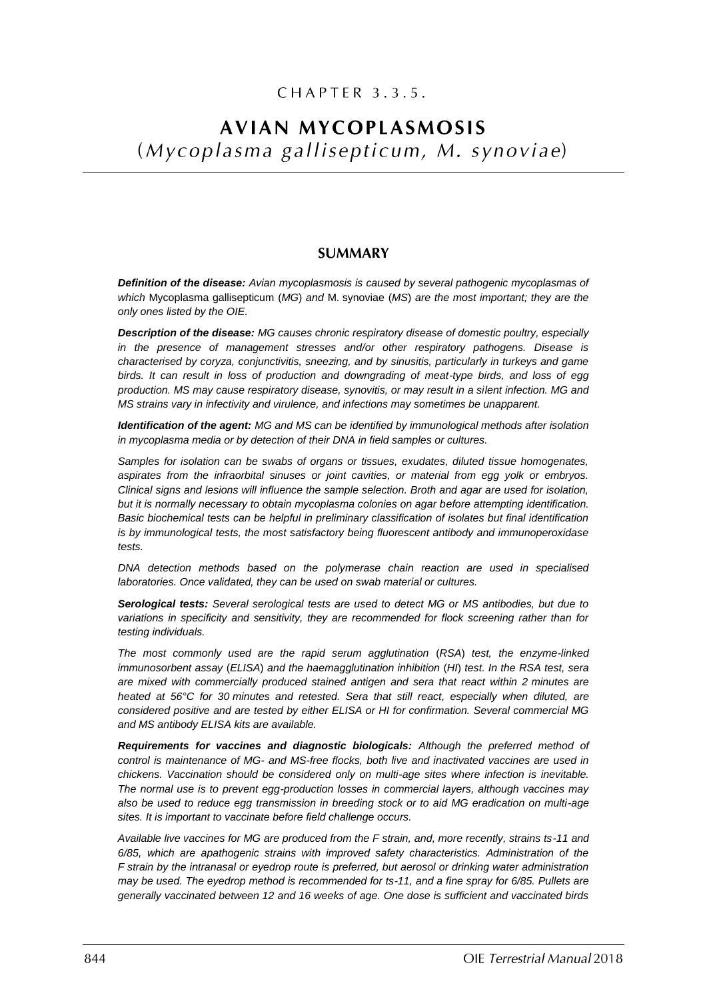# CHAPTER 3.3.5.

# **AVIAN MYCOPLASMOSIS** (Mycoplasma gallisepticum, M. synoviae)

#### **SUMMARY**

*Definition of the disease: Avian mycoplasmosis is caused by several pathogenic mycoplasmas of which* Mycoplasma gallisepticum (*MG*) *and* M. synoviae (*MS*) *are the most important; they are the only ones listed by the OIE.*

*Description of the disease: MG causes chronic respiratory disease of domestic poultry, especially in the presence of management stresses and/or other respiratory pathogens. Disease is characterised by coryza, conjunctivitis, sneezing, and by sinusitis, particularly in turkeys and game birds. It can result in loss of production and downgrading of meat-type birds, and loss of egg production. MS may cause respiratory disease, synovitis, or may result in a silent infection. MG and MS strains vary in infectivity and virulence, and infections may sometimes be unapparent.*

*Identification of the agent: MG and MS can be identified by immunological methods after isolation in mycoplasma media or by detection of their DNA in field samples or cultures.*

*Samples for isolation can be swabs of organs or tissues, exudates, diluted tissue homogenates, aspirates from the infraorbital sinuses or joint cavities, or material from egg yolk or embryos. Clinical signs and lesions will influence the sample selection. Broth and agar are used for isolation, but it is normally necessary to obtain mycoplasma colonies on agar before attempting identification. Basic biochemical tests can be helpful in preliminary classification of isolates but final identification is by immunological tests, the most satisfactory being fluorescent antibody and immunoperoxidase tests.*

*DNA detection methods based on the polymerase chain reaction are used in specialised laboratories. Once validated, they can be used on swab material or cultures.*

*Serological tests: Several serological tests are used to detect MG or MS antibodies, but due to variations in specificity and sensitivity, they are recommended for flock screening rather than for testing individuals.*

*The most commonly used are the rapid serum agglutination* (*RSA*) *test, the enzyme-linked immunosorbent assay* (*ELISA*) *and the haemagglutination inhibition* (*HI*) *test. In the RSA test, sera are mixed with commercially produced stained antigen and sera that react within 2 minutes are heated at 56°C for 30 minutes and retested. Sera that still react, especially when diluted, are considered positive and are tested by either ELISA or HI for confirmation. Several commercial MG and MS antibody ELISA kits are available.*

*Requirements for vaccines and diagnostic biologicals: Although the preferred method of control is maintenance of MG- and MS-free flocks, both live and inactivated vaccines are used in chickens. Vaccination should be considered only on multi-age sites where infection is inevitable. The normal use is to prevent egg-production losses in commercial layers, although vaccines may also be used to reduce egg transmission in breeding stock or to aid MG eradication on multi-age sites. It is important to vaccinate before field challenge occurs.*

*Available live vaccines for MG are produced from the F strain, and, more recently, strains ts-11 and 6/85, which are apathogenic strains with improved safety characteristics. Administration of the F strain by the intranasal or eyedrop route is preferred, but aerosol or drinking water administration may be used. The eyedrop method is recommended for ts-11, and a fine spray for 6/85. Pullets are generally vaccinated between 12 and 16 weeks of age. One dose is sufficient and vaccinated birds*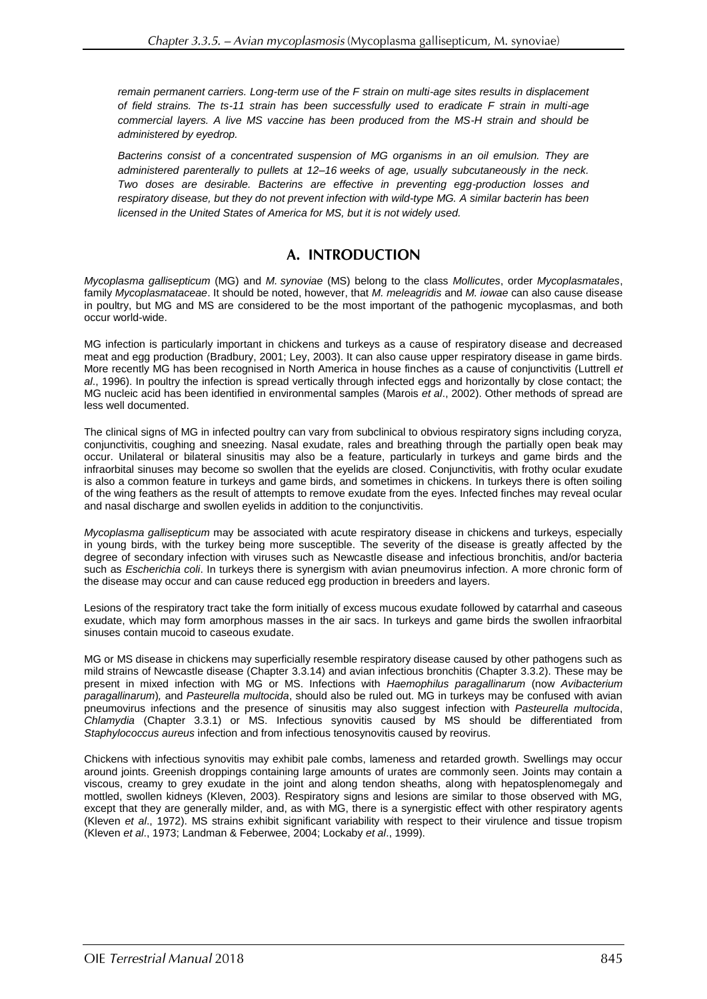*remain permanent carriers. Long-term use of the F strain on multi-age sites results in displacement of field strains. The ts-11 strain has been successfully used to eradicate F strain in multi-age commercial layers. A live MS vaccine has been produced from the MS-H strain and should be administered by eyedrop.*

*Bacterins consist of a concentrated suspension of MG organisms in an oil emulsion. They are administered parenterally to pullets at 12–16 weeks of age, usually subcutaneously in the neck. Two doses are desirable. Bacterins are effective in preventing egg-production losses and respiratory disease, but they do not prevent infection with wild-type MG. A similar bacterin has been licensed in the United States of America for MS, but it is not widely used.*

# A. INTRODUCTION

*Mycoplasma gallisepticum* (MG) and *M. synoviae* (MS) belong to the class *Mollicutes*, order *Mycoplasmatales*, family *Mycoplasmataceae*. It should be noted, however, that *M. meleagridis* and *M. iowae* can also cause disease in poultry, but MG and MS are considered to be the most important of the pathogenic mycoplasmas, and both occur world-wide.

MG infection is particularly important in chickens and turkeys as a cause of respiratory disease and decreased meat and egg production (Bradbury, 2001; Ley, 2003). It can also cause upper respiratory disease in game birds. More recently MG has been recognised in North America in house finches as a cause of conjunctivitis (Luttrell *et al*., 1996). In poultry the infection is spread vertically through infected eggs and horizontally by close contact; the MG nucleic acid has been identified in environmental samples (Marois *et al*., 2002). Other methods of spread are less well documented.

The clinical signs of MG in infected poultry can vary from subclinical to obvious respiratory signs including coryza, conjunctivitis, coughing and sneezing. Nasal exudate, rales and breathing through the partially open beak may occur. Unilateral or bilateral sinusitis may also be a feature, particularly in turkeys and game birds and the infraorbital sinuses may become so swollen that the eyelids are closed. Conjunctivitis, with frothy ocular exudate is also a common feature in turkeys and game birds, and sometimes in chickens. In turkeys there is often soiling of the wing feathers as the result of attempts to remove exudate from the eyes. Infected finches may reveal ocular and nasal discharge and swollen eyelids in addition to the conjunctivitis.

*Mycoplasma gallisepticum* may be associated with acute respiratory disease in chickens and turkeys, especially in young birds, with the turkey being more susceptible. The severity of the disease is greatly affected by the degree of secondary infection with viruses such as Newcastle disease and infectious bronchitis, and/or bacteria such as *Escherichia coli*. In turkeys there is synergism with avian pneumovirus infection. A more chronic form of the disease may occur and can cause reduced egg production in breeders and layers.

Lesions of the respiratory tract take the form initially of excess mucous exudate followed by catarrhal and caseous exudate, which may form amorphous masses in the air sacs. In turkeys and game birds the swollen infraorbital sinuses contain mucoid to caseous exudate.

MG or MS disease in chickens may superficially resemble respiratory disease caused by other pathogens such as mild strains of Newcastle disease (Chapter 3.3.14) and avian infectious bronchitis (Chapter 3.3.2). These may be present in mixed infection with MG or MS. Infections with *Haemophilus paragallinarum* (now *Avibacterium paragallinarum*)*,* and *Pasteurella multocida*, should also be ruled out. MG in turkeys may be confused with avian pneumovirus infections and the presence of sinusitis may also suggest infection with *Pasteurella multocida*, *Chlamydia* (Chapter 3.3.1) or MS. Infectious synovitis caused by MS should be differentiated from *Staphylococcus aureus* infection and from infectious tenosynovitis caused by reovirus.

Chickens with infectious synovitis may exhibit pale combs, lameness and retarded growth. Swellings may occur around joints. Greenish droppings containing large amounts of urates are commonly seen. Joints may contain a viscous, creamy to grey exudate in the joint and along tendon sheaths, along with hepatosplenomegaly and mottled, swollen kidneys (Kleven, 2003). Respiratory signs and lesions are similar to those observed with MG, except that they are generally milder, and, as with MG, there is a synergistic effect with other respiratory agents (Kleven *et al*., 1972). MS strains exhibit significant variability with respect to their virulence and tissue tropism (Kleven *et al*., 1973; Landman & Feberwee, 2004; Lockaby *et al*., 1999).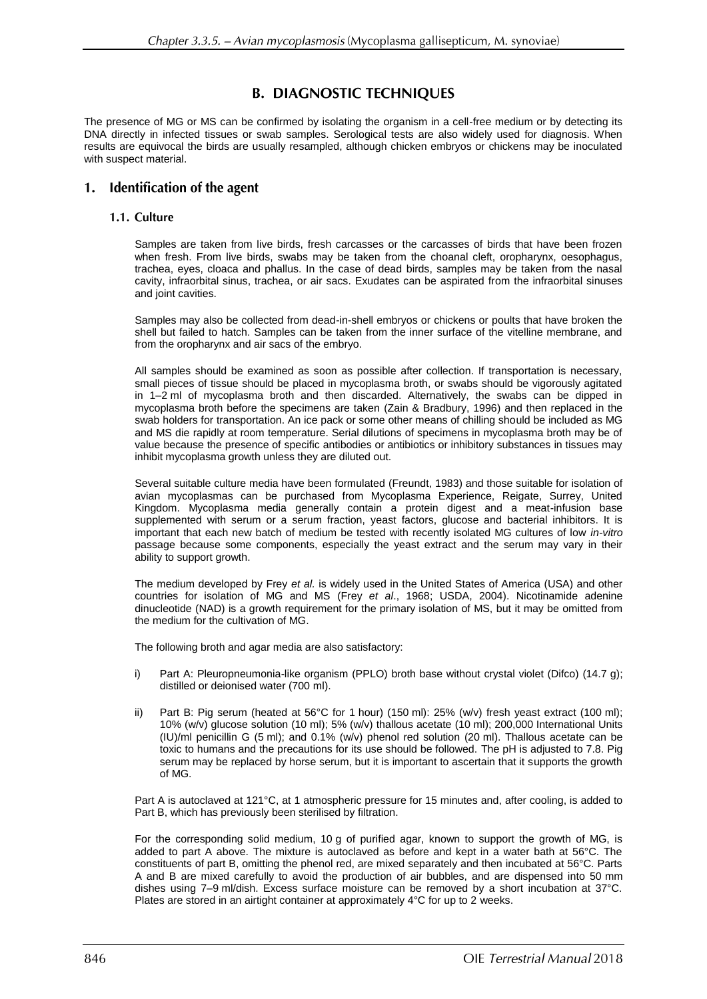# **B. DIAGNOSTIC TECHNIQUES**

The presence of MG or MS can be confirmed by isolating the organism in a cell-free medium or by detecting its DNA directly in infected tissues or swab samples. Serological tests are also widely used for diagnosis. When results are equivocal the birds are usually resampled, although chicken embryos or chickens may be inoculated with suspect material.

#### 1. Identification of the agent

#### 1.1. Culture

Samples are taken from live birds, fresh carcasses or the carcasses of birds that have been frozen when fresh. From live birds, swabs may be taken from the choanal cleft, oropharynx, oesophagus, trachea, eyes, cloaca and phallus. In the case of dead birds, samples may be taken from the nasal cavity, infraorbital sinus, trachea, or air sacs. Exudates can be aspirated from the infraorbital sinuses and joint cavities.

Samples may also be collected from dead-in-shell embryos or chickens or poults that have broken the shell but failed to hatch. Samples can be taken from the inner surface of the vitelline membrane, and from the oropharynx and air sacs of the embryo.

All samples should be examined as soon as possible after collection. If transportation is necessary, small pieces of tissue should be placed in mycoplasma broth, or swabs should be vigorously agitated in 1–2 ml of mycoplasma broth and then discarded. Alternatively, the swabs can be dipped in mycoplasma broth before the specimens are taken (Zain & Bradbury, 1996) and then replaced in the swab holders for transportation. An ice pack or some other means of chilling should be included as MG and MS die rapidly at room temperature. Serial dilutions of specimens in mycoplasma broth may be of value because the presence of specific antibodies or antibiotics or inhibitory substances in tissues may inhibit mycoplasma growth unless they are diluted out.

Several suitable culture media have been formulated (Freundt, 1983) and those suitable for isolation of avian mycoplasmas can be purchased from Mycoplasma Experience, Reigate, Surrey, United Kingdom. Mycoplasma media generally contain a protein digest and a meat-infusion base supplemented with serum or a serum fraction, yeast factors, glucose and bacterial inhibitors. It is important that each new batch of medium be tested with recently isolated MG cultures of low *in-vitro* passage because some components, especially the yeast extract and the serum may vary in their ability to support growth.

The medium developed by Frey *et al.* is widely used in the United States of America (USA) and other countries for isolation of MG and MS (Frey *et al*., 1968; USDA, 2004). Nicotinamide adenine dinucleotide (NAD) is a growth requirement for the primary isolation of MS, but it may be omitted from the medium for the cultivation of MG.

The following broth and agar media are also satisfactory:

- i) Part A: Pleuropneumonia-like organism (PPLO) broth base without crystal violet (Difco) (14.7 g); distilled or deionised water (700 ml).
- ii) Part B: Pig serum (heated at  $56^{\circ}$ C for 1 hour) (150 ml): 25% (w/v) fresh yeast extract (100 ml); 10% (w/v) glucose solution (10 ml); 5% (w/v) thallous acetate (10 ml); 200,000 International Units (IU)/ml penicillin G (5 ml); and 0.1% (w/v) phenol red solution (20 ml). Thallous acetate can be toxic to humans and the precautions for its use should be followed. The pH is adjusted to 7.8. Pig serum may be replaced by horse serum, but it is important to ascertain that it supports the growth of MG.

Part A is autoclaved at 121°C, at 1 atmospheric pressure for 15 minutes and, after cooling, is added to Part B, which has previously been sterilised by filtration.

For the corresponding solid medium, 10 g of purified agar, known to support the growth of MG, is added to part A above. The mixture is autoclaved as before and kept in a water bath at 56°C. The constituents of part B, omitting the phenol red, are mixed separately and then incubated at 56°C. Parts A and B are mixed carefully to avoid the production of air bubbles, and are dispensed into 50 mm dishes using 7–9 ml/dish. Excess surface moisture can be removed by a short incubation at 37°C. Plates are stored in an airtight container at approximately 4°C for up to 2 weeks.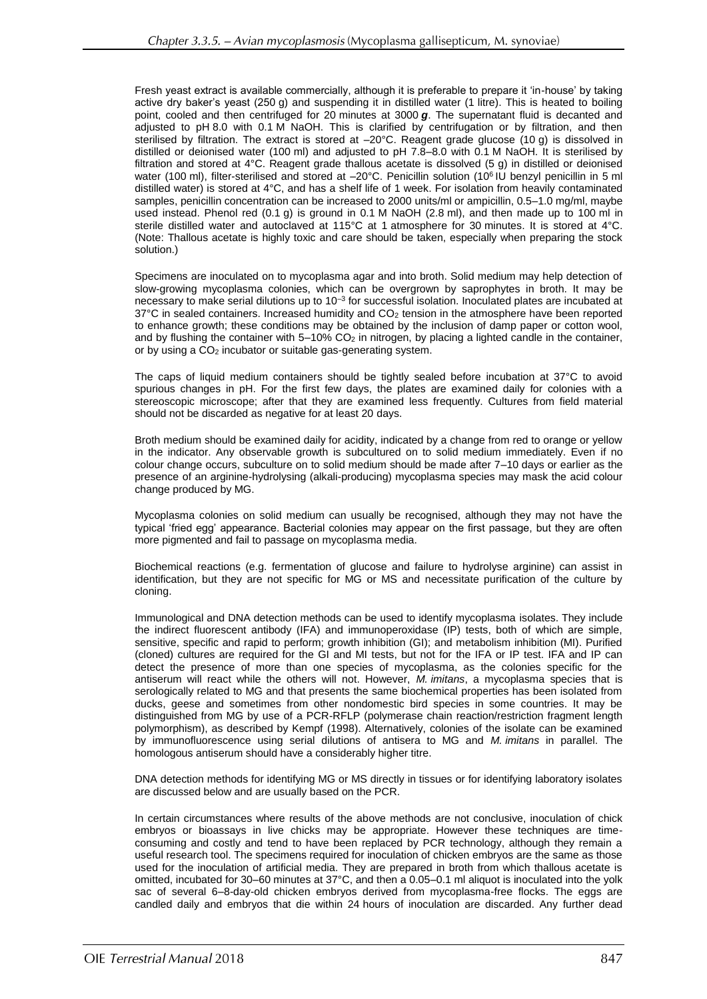Fresh yeast extract is available commercially, although it is preferable to prepare it 'in-house' by taking active dry baker's yeast (250 g) and suspending it in distilled water (1 litre). This is heated to boiling point, cooled and then centrifuged for 20 minutes at 3000 *g*. The supernatant fluid is decanted and adjusted to pH 8.0 with 0.1 M NaOH. This is clarified by centrifugation or by filtration, and then sterilised by filtration. The extract is stored at –20°C. Reagent grade glucose (10 g) is dissolved in distilled or deionised water (100 ml) and adjusted to pH 7.8–8.0 with 0.1 M NaOH. It is sterilised by filtration and stored at 4°C. Reagent grade thallous acetate is dissolved (5 g) in distilled or deionised water (100 ml), filter-sterilised and stored at -20°C. Penicillin solution (10<sup>6</sup> IU benzyl penicillin in 5 ml distilled water) is stored at 4°C, and has a shelf life of 1 week. For isolation from heavily contaminated samples, penicillin concentration can be increased to 2000 units/ml or ampicillin, 0.5–1.0 mg/ml, maybe used instead. Phenol red (0.1 g) is ground in 0.1 M NaOH (2.8 ml), and then made up to 100 ml in sterile distilled water and autoclaved at 115°C at 1 atmosphere for 30 minutes. It is stored at 4°C. (Note: Thallous acetate is highly toxic and care should be taken, especially when preparing the stock solution.)

Specimens are inoculated on to mycoplasma agar and into broth. Solid medium may help detection of slow-growing mycoplasma colonies, which can be overgrown by saprophytes in broth. It may be necessary to make serial dilutions up to 10<sup>-3</sup> for successful isolation. Inoculated plates are incubated at 37°C in sealed containers. Increased humidity and CO<sub>2</sub> tension in the atmosphere have been reported to enhance growth; these conditions may be obtained by the inclusion of damp paper or cotton wool, and by flushing the container with 5–10% CO<sub>2</sub> in nitrogen, by placing a lighted candle in the container, or by using a CO<sup>2</sup> incubator or suitable gas-generating system.

The caps of liquid medium containers should be tightly sealed before incubation at 37°C to avoid spurious changes in pH. For the first few days, the plates are examined daily for colonies with a stereoscopic microscope; after that they are examined less frequently. Cultures from field material should not be discarded as negative for at least 20 days.

Broth medium should be examined daily for acidity, indicated by a change from red to orange or yellow in the indicator. Any observable growth is subcultured on to solid medium immediately. Even if no colour change occurs, subculture on to solid medium should be made after 7–10 days or earlier as the presence of an arginine-hydrolysing (alkali-producing) mycoplasma species may mask the acid colour change produced by MG.

Mycoplasma colonies on solid medium can usually be recognised, although they may not have the typical 'fried egg' appearance. Bacterial colonies may appear on the first passage, but they are often more pigmented and fail to passage on mycoplasma media.

Biochemical reactions (e.g. fermentation of glucose and failure to hydrolyse arginine) can assist in identification, but they are not specific for MG or MS and necessitate purification of the culture by cloning.

Immunological and DNA detection methods can be used to identify mycoplasma isolates. They include the indirect fluorescent antibody (IFA) and immunoperoxidase (IP) tests, both of which are simple, sensitive, specific and rapid to perform; growth inhibition (GI); and metabolism inhibition (MI). Purified (cloned) cultures are required for the GI and MI tests, but not for the IFA or IP test. IFA and IP can detect the presence of more than one species of mycoplasma, as the colonies specific for the antiserum will react while the others will not. However, *M. imitans*, a mycoplasma species that is serologically related to MG and that presents the same biochemical properties has been isolated from ducks, geese and sometimes from other nondomestic bird species in some countries. It may be distinguished from MG by use of a PCR-RFLP (polymerase chain reaction/restriction fragment length polymorphism), as described by Kempf (1998). Alternatively, colonies of the isolate can be examined by immunofluorescence using serial dilutions of antisera to MG and *M. imitans* in parallel. The homologous antiserum should have a considerably higher titre.

DNA detection methods for identifying MG or MS directly in tissues or for identifying laboratory isolates are discussed below and are usually based on the PCR.

In certain circumstances where results of the above methods are not conclusive, inoculation of chick embryos or bioassays in live chicks may be appropriate. However these techniques are timeconsuming and costly and tend to have been replaced by PCR technology, although they remain a useful research tool. The specimens required for inoculation of chicken embryos are the same as those used for the inoculation of artificial media. They are prepared in broth from which thallous acetate is omitted, incubated for 30–60 minutes at 37°C, and then a 0.05–0.1 ml aliquot is inoculated into the yolk sac of several 6–8-day-old chicken embryos derived from mycoplasma-free flocks. The eggs are candled daily and embryos that die within 24 hours of inoculation are discarded. Any further dead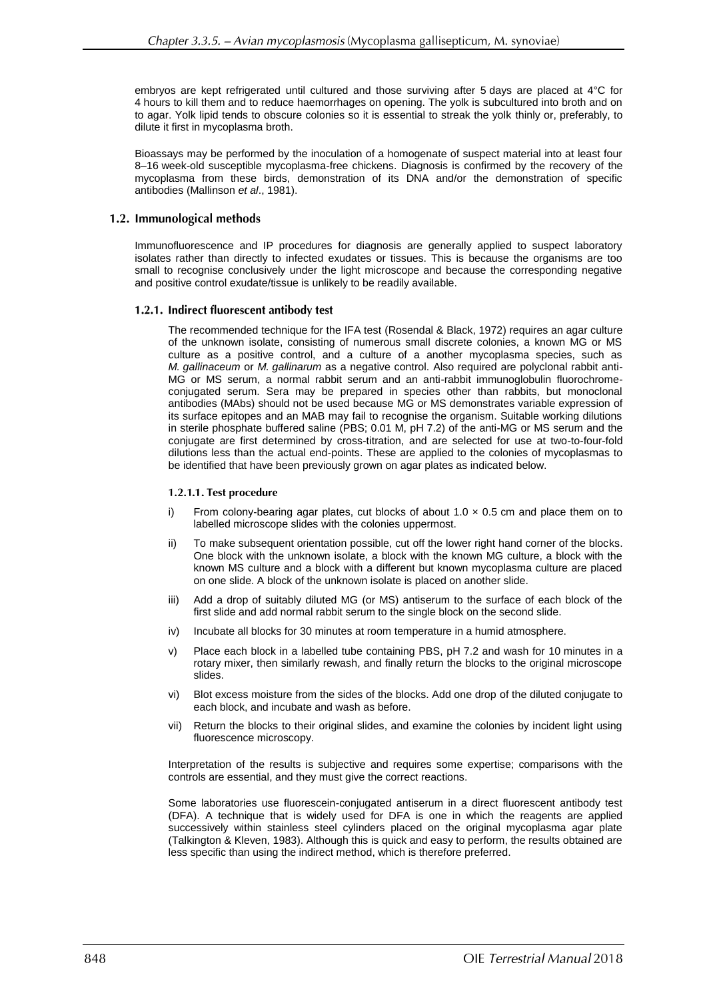embryos are kept refrigerated until cultured and those surviving after 5 days are placed at 4°C for 4 hours to kill them and to reduce haemorrhages on opening. The yolk is subcultured into broth and on to agar. Yolk lipid tends to obscure colonies so it is essential to streak the yolk thinly or, preferably, to dilute it first in mycoplasma broth.

Bioassays may be performed by the inoculation of a homogenate of suspect material into at least four 8–16 week-old susceptible mycoplasma-free chickens. Diagnosis is confirmed by the recovery of the mycoplasma from these birds, demonstration of its DNA and/or the demonstration of specific antibodies (Mallinson *et al*., 1981).

#### 1.2. Immunological methods

Immunofluorescence and IP procedures for diagnosis are generally applied to suspect laboratory isolates rather than directly to infected exudates or tissues. This is because the organisms are too small to recognise conclusively under the light microscope and because the corresponding negative and positive control exudate/tissue is unlikely to be readily available.

#### 1.2.1. Indirect fluorescent antibody test

The recommended technique for the IFA test (Rosendal & Black, 1972) requires an agar culture of the unknown isolate, consisting of numerous small discrete colonies, a known MG or MS culture as a positive control, and a culture of a another mycoplasma species, such as *M. gallinaceum* or *M. gallinarum* as a negative control. Also required are polyclonal rabbit anti-MG or MS serum, a normal rabbit serum and an anti-rabbit immunoglobulin fluorochromeconjugated serum. Sera may be prepared in species other than rabbits, but monoclonal antibodies (MAbs) should not be used because MG or MS demonstrates variable expression of its surface epitopes and an MAB may fail to recognise the organism. Suitable working dilutions in sterile phosphate buffered saline (PBS; 0.01 M, pH 7.2) of the anti-MG or MS serum and the conjugate are first determined by cross-titration, and are selected for use at two-to-four-fold dilutions less than the actual end-points. These are applied to the colonies of mycoplasmas to be identified that have been previously grown on agar plates as indicated below.

#### 1.2.1.1. Test procedure

- From colony-bearing agar plates, cut blocks of about 1.0  $\times$  0.5 cm and place them on to labelled microscope slides with the colonies uppermost.
- To make subsequent orientation possible, cut off the lower right hand corner of the blocks. One block with the unknown isolate, a block with the known MG culture, a block with the known MS culture and a block with a different but known mycoplasma culture are placed on one slide. A block of the unknown isolate is placed on another slide.
- iii) Add a drop of suitably diluted MG (or MS) antiserum to the surface of each block of the first slide and add normal rabbit serum to the single block on the second slide.
- iv) Incubate all blocks for 30 minutes at room temperature in a humid atmosphere.
- v) Place each block in a labelled tube containing PBS, pH 7.2 and wash for 10 minutes in a rotary mixer, then similarly rewash, and finally return the blocks to the original microscope slides.
- vi) Blot excess moisture from the sides of the blocks. Add one drop of the diluted conjugate to each block, and incubate and wash as before.
- vii) Return the blocks to their original slides, and examine the colonies by incident light using fluorescence microscopy.

Interpretation of the results is subjective and requires some expertise; comparisons with the controls are essential, and they must give the correct reactions.

Some laboratories use fluorescein-conjugated antiserum in a direct fluorescent antibody test (DFA). A technique that is widely used for DFA is one in which the reagents are applied successively within stainless steel cylinders placed on the original mycoplasma agar plate (Talkington & Kleven, 1983). Although this is quick and easy to perform, the results obtained are less specific than using the indirect method, which is therefore preferred.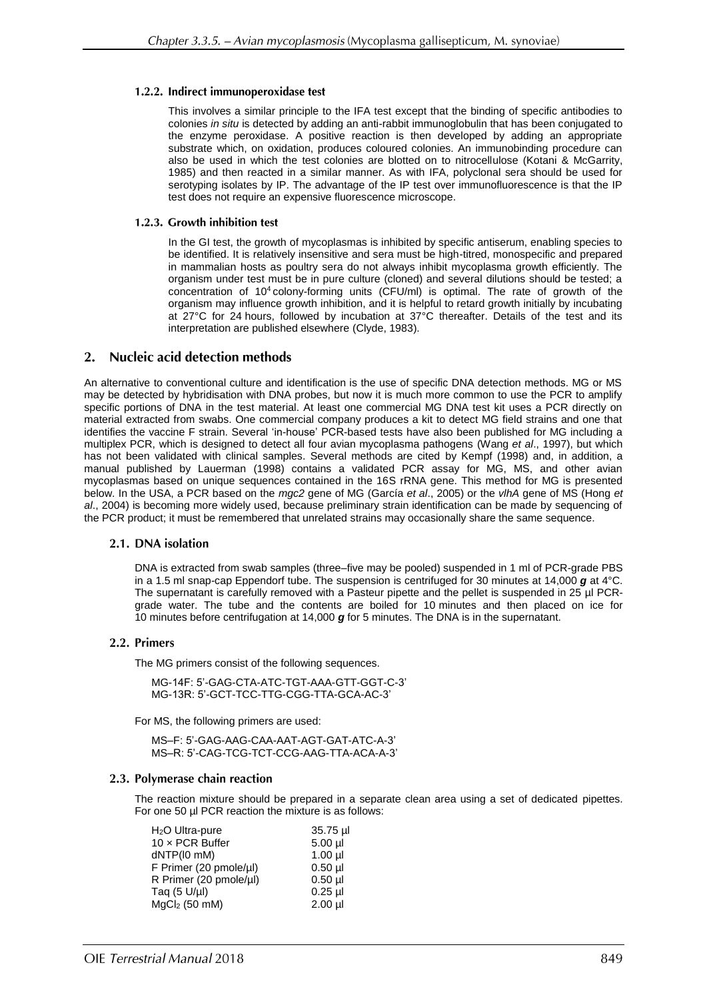#### 1.2.2. Indirect immunoperoxidase test

This involves a similar principle to the IFA test except that the binding of specific antibodies to colonies *in situ* is detected by adding an anti-rabbit immunoglobulin that has been conjugated to the enzyme peroxidase. A positive reaction is then developed by adding an appropriate substrate which, on oxidation, produces coloured colonies. An immunobinding procedure can also be used in which the test colonies are blotted on to nitrocellulose (Kotani & McGarrity, 1985) and then reacted in a similar manner. As with IFA, polyclonal sera should be used for serotyping isolates by IP. The advantage of the IP test over immunofluorescence is that the IP test does not require an expensive fluorescence microscope.

#### 1.2.3. Growth inhibition test

In the GI test, the growth of mycoplasmas is inhibited by specific antiserum, enabling species to be identified. It is relatively insensitive and sera must be high-titred, monospecific and prepared in mammalian hosts as poultry sera do not always inhibit mycoplasma growth efficiently. The organism under test must be in pure culture (cloned) and several dilutions should be tested; a concentration of 10<sup>4</sup> colony-forming units (CFU/ml) is optimal. The rate of growth of the organism may influence growth inhibition, and it is helpful to retard growth initially by incubating at 27°C for 24 hours, followed by incubation at 37°C thereafter. Details of the test and its interpretation are published elsewhere (Clyde, 1983).

#### **Nucleic acid detection methods**  $2.$

An alternative to conventional culture and identification is the use of specific DNA detection methods. MG or MS may be detected by hybridisation with DNA probes, but now it is much more common to use the PCR to amplify specific portions of DNA in the test material. At least one commercial MG DNA test kit uses a PCR directly on material extracted from swabs. One commercial company produces a kit to detect MG field strains and one that identifies the vaccine F strain. Several 'in-house' PCR-based tests have also been published for MG including a multiplex PCR, which is designed to detect all four avian mycoplasma pathogens (Wang *et al*., 1997), but which has not been validated with clinical samples. Several methods are cited by Kempf (1998) and, in addition, a manual published by Lauerman (1998) contains a validated PCR assay for MG, MS, and other avian mycoplasmas based on unique sequences contained in the 16S rRNA gene. This method for MG is presented below. In the USA, a PCR based on the *mgc2* gene of MG (García *et al*., 2005) or the *vlhA* gene of MS (Hong *et al*., 2004) is becoming more widely used, because preliminary strain identification can be made by sequencing of the PCR product; it must be remembered that unrelated strains may occasionally share the same sequence.

#### 2.1. DNA isolation

DNA is extracted from swab samples (three–five may be pooled) suspended in 1 ml of PCR-grade PBS in a 1.5 ml snap-cap Eppendorf tube. The suspension is centrifuged for 30 minutes at 14,000 *g* at 4°C. The supernatant is carefully removed with a Pasteur pipette and the pellet is suspended in 25 µl PCRgrade water. The tube and the contents are boiled for 10 minutes and then placed on ice for 10 minutes before centrifugation at 14,000 *g* for 5 minutes. The DNA is in the supernatant.

#### 2.2. Primers

The MG primers consist of the following sequences.

MG-14F: 5'-GAG-CTA-ATC-TGT-AAA-GTT-GGT-C-3' MG-13R: 5'-GCT-TCC-TTG-CGG-TTA-GCA-AC-3'

For MS, the following primers are used:

MS–F: 5'-GAG-AAG-CAA-AAT-AGT-GAT-ATC-A-3' MS–R: 5'-CAG-TCG-TCT-CCG-AAG-TTA-ACA-A-3'

#### 2.3. Polymerase chain reaction

The reaction mixture should be prepared in a separate clean area using a set of dedicated pipettes. For one 50 µl PCR reaction the mixture is as follows:

| $H2O$ Ultra-pure                | 35.75 µl     |
|---------------------------------|--------------|
| $10 \times PCR$ Buffer          | $5.00$ $\mu$ |
| $dNTP(10 \text{ mM})$           | $1.00$ µl    |
| F Primer (20 pmole/µl)          | $0.50$ µl    |
| R Primer (20 pmole/µl)          | $0.50$ µl    |
| Tag $(5 \text{ U/}\mu\text{I})$ | $0.25$ µl    |
| $MgCl2$ (50 mM)                 | $2.00$ $\mu$ |
|                                 |              |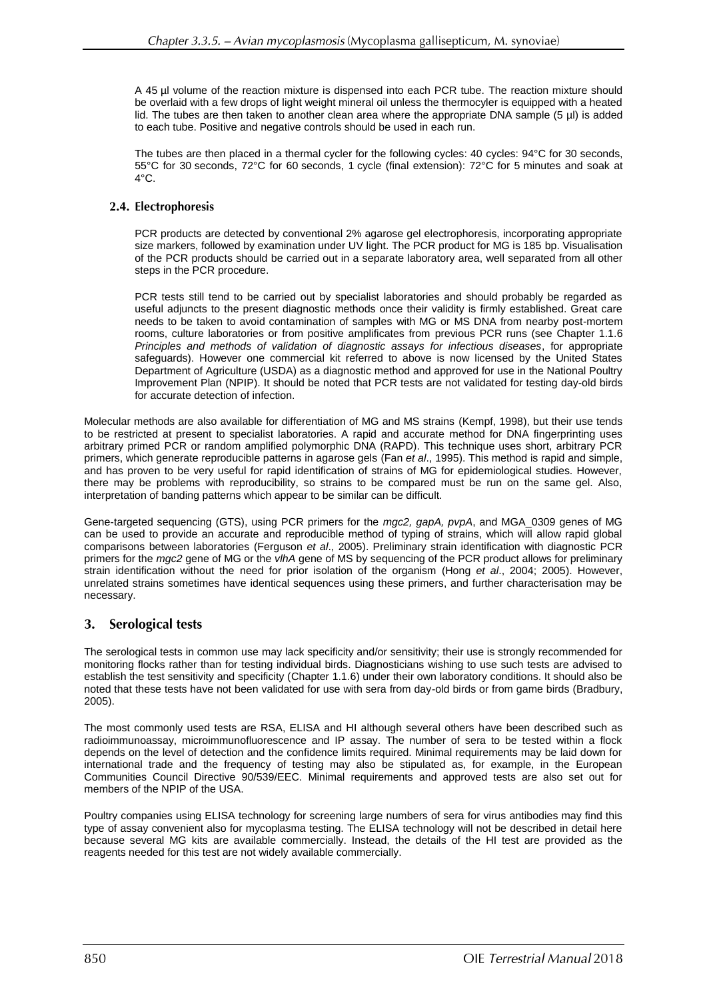A 45 µl volume of the reaction mixture is dispensed into each PCR tube. The reaction mixture should be overlaid with a few drops of light weight mineral oil unless the thermocyler is equipped with a heated lid. The tubes are then taken to another clean area where the appropriate DNA sample (5 µl) is added to each tube. Positive and negative controls should be used in each run.

The tubes are then placed in a thermal cycler for the following cycles: 40 cycles: 94°C for 30 seconds, 55°C for 30 seconds, 72°C for 60 seconds, 1 cycle (final extension): 72°C for 5 minutes and soak at 4°C.

### 2.4. Electrophoresis

PCR products are detected by conventional 2% agarose gel electrophoresis, incorporating appropriate size markers, followed by examination under UV light. The PCR product for MG is 185 bp. Visualisation of the PCR products should be carried out in a separate laboratory area, well separated from all other steps in the PCR procedure.

PCR tests still tend to be carried out by specialist laboratories and should probably be regarded as useful adjuncts to the present diagnostic methods once their validity is firmly established. Great care needs to be taken to avoid contamination of samples with MG or MS DNA from nearby post-mortem rooms, culture laboratories or from positive amplificates from previous PCR runs (see Chapter 1.1.6 *Principles and methods of validation of diagnostic assays for infectious diseases*, for appropriate safeguards). However one commercial kit referred to above is now licensed by the United States Department of Agriculture (USDA) as a diagnostic method and approved for use in the National Poultry Improvement Plan (NPIP). It should be noted that PCR tests are not validated for testing day-old birds for accurate detection of infection.

Molecular methods are also available for differentiation of MG and MS strains (Kempf, 1998), but their use tends to be restricted at present to specialist laboratories. A rapid and accurate method for DNA fingerprinting uses arbitrary primed PCR or random amplified polymorphic DNA (RAPD). This technique uses short, arbitrary PCR primers, which generate reproducible patterns in agarose gels (Fan *et al*., 1995). This method is rapid and simple, and has proven to be very useful for rapid identification of strains of MG for epidemiological studies. However, there may be problems with reproducibility, so strains to be compared must be run on the same gel. Also, interpretation of banding patterns which appear to be similar can be difficult.

Gene-targeted sequencing (GTS), using PCR primers for the *mgc2, gapA, pvpA*, and MGA\_0309 genes of MG can be used to provide an accurate and reproducible method of typing of strains, which will allow rapid global comparisons between laboratories (Ferguson *et al*., 2005). Preliminary strain identification with diagnostic PCR primers for the *mgc2* gene of MG or the *vlhA* gene of MS by sequencing of the PCR product allows for preliminary strain identification without the need for prior isolation of the organism (Hong *et al*., 2004; 2005). However, unrelated strains sometimes have identical sequences using these primers, and further characterisation may be necessary.

#### **Serological tests** 3.

The serological tests in common use may lack specificity and/or sensitivity; their use is strongly recommended for monitoring flocks rather than for testing individual birds. Diagnosticians wishing to use such tests are advised to establish the test sensitivity and specificity (Chapter 1.1.6) under their own laboratory conditions. It should also be noted that these tests have not been validated for use with sera from day-old birds or from game birds (Bradbury, 2005).

The most commonly used tests are RSA, ELISA and HI although several others have been described such as radioimmunoassay, microimmunofluorescence and IP assay. The number of sera to be tested within a flock depends on the level of detection and the confidence limits required. Minimal requirements may be laid down for international trade and the frequency of testing may also be stipulated as, for example, in the European Communities Council Directive 90/539/EEC. Minimal requirements and approved tests are also set out for members of the NPIP of the USA.

Poultry companies using ELISA technology for screening large numbers of sera for virus antibodies may find this type of assay convenient also for mycoplasma testing. The ELISA technology will not be described in detail here because several MG kits are available commercially. Instead, the details of the HI test are provided as the reagents needed for this test are not widely available commercially.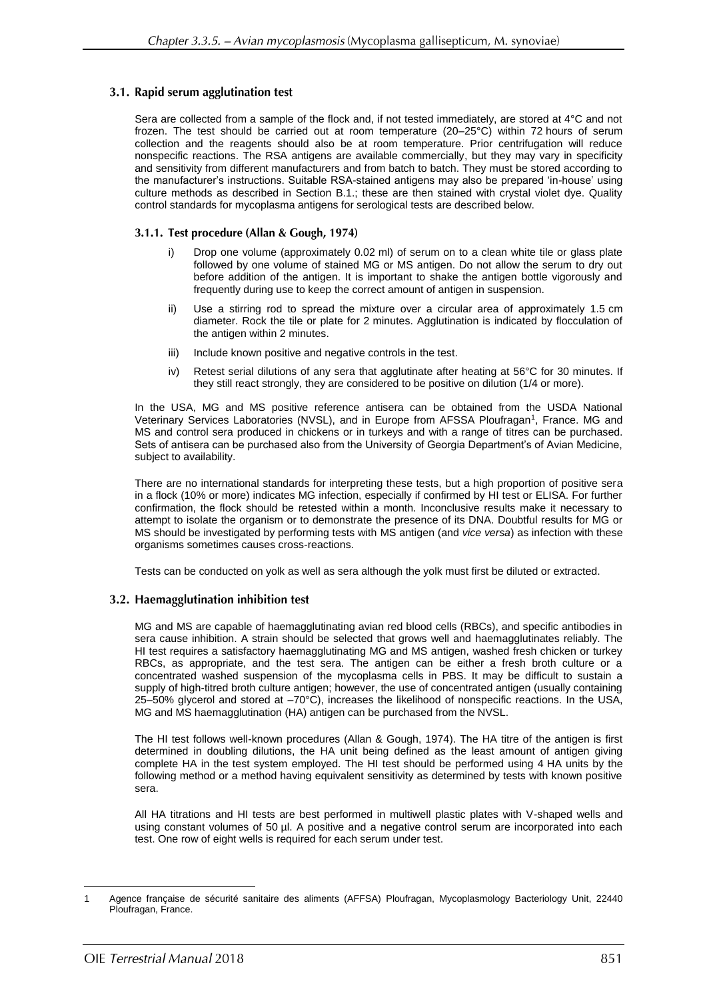#### 3.1. Rapid serum agglutination test

Sera are collected from a sample of the flock and, if not tested immediately, are stored at 4°C and not frozen. The test should be carried out at room temperature (20–25°C) within 72 hours of serum collection and the reagents should also be at room temperature. Prior centrifugation will reduce nonspecific reactions. The RSA antigens are available commercially, but they may vary in specificity and sensitivity from different manufacturers and from batch to batch. They must be stored according to the manufacturer's instructions. Suitable RSA-stained antigens may also be prepared 'in-house' using culture methods as described in Section B.1.; these are then stained with crystal violet dye. Quality control standards for mycoplasma antigens for serological tests are described below.

#### 3.1.1. Test procedure (Allan & Gough, 1974)

- Drop one volume (approximately 0.02 ml) of serum on to a clean white tile or glass plate followed by one volume of stained MG or MS antigen. Do not allow the serum to dry out before addition of the antigen. It is important to shake the antigen bottle vigorously and frequently during use to keep the correct amount of antigen in suspension.
- ii) Use a stirring rod to spread the mixture over a circular area of approximately 1.5 cm diameter. Rock the tile or plate for 2 minutes. Agglutination is indicated by flocculation of the antigen within 2 minutes.
- iii) Include known positive and negative controls in the test.
- iv) Retest serial dilutions of any sera that agglutinate after heating at  $56^{\circ}$ C for 30 minutes. If they still react strongly, they are considered to be positive on dilution (1/4 or more).

In the USA, MG and MS positive reference antisera can be obtained from the USDA National Veterinary Services Laboratories (NVSL), and in Europe from AFSSA Ploufragan<sup>1</sup>, France. MG and MS and control sera produced in chickens or in turkeys and with a range of titres can be purchased. Sets of antisera can be purchased also from the University of Georgia Department's of Avian Medicine, subject to availability.

There are no international standards for interpreting these tests, but a high proportion of positive sera in a flock (10% or more) indicates MG infection, especially if confirmed by HI test or ELISA. For further confirmation, the flock should be retested within a month. Inconclusive results make it necessary to attempt to isolate the organism or to demonstrate the presence of its DNA. Doubtful results for MG or MS should be investigated by performing tests with MS antigen (and *vice versa*) as infection with these organisms sometimes causes cross-reactions.

Tests can be conducted on yolk as well as sera although the yolk must first be diluted or extracted.

#### 3.2. Haemagglutination inhibition test

MG and MS are capable of haemagglutinating avian red blood cells (RBCs), and specific antibodies in sera cause inhibition. A strain should be selected that grows well and haemagglutinates reliably. The HI test requires a satisfactory haemagglutinating MG and MS antigen, washed fresh chicken or turkey RBCs, as appropriate, and the test sera. The antigen can be either a fresh broth culture or a concentrated washed suspension of the mycoplasma cells in PBS. It may be difficult to sustain a supply of high-titred broth culture antigen; however, the use of concentrated antigen (usually containing 25–50% glycerol and stored at –70°C), increases the likelihood of nonspecific reactions. In the USA, MG and MS haemagglutination (HA) antigen can be purchased from the NVSL.

The HI test follows well-known procedures (Allan & Gough, 1974). The HA titre of the antigen is first determined in doubling dilutions, the HA unit being defined as the least amount of antigen giving complete HA in the test system employed. The HI test should be performed using 4 HA units by the following method or a method having equivalent sensitivity as determined by tests with known positive sera.

All HA titrations and HI tests are best performed in multiwell plastic plates with V-shaped wells and using constant volumes of 50 µl. A positive and a negative control serum are incorporated into each test. One row of eight wells is required for each serum under test.

 $\overline{a}$ 1 Agence française de sécurité sanitaire des aliments (AFFSA) Ploufragan, Mycoplasmology Bacteriology Unit, 22440 Ploufragan, France.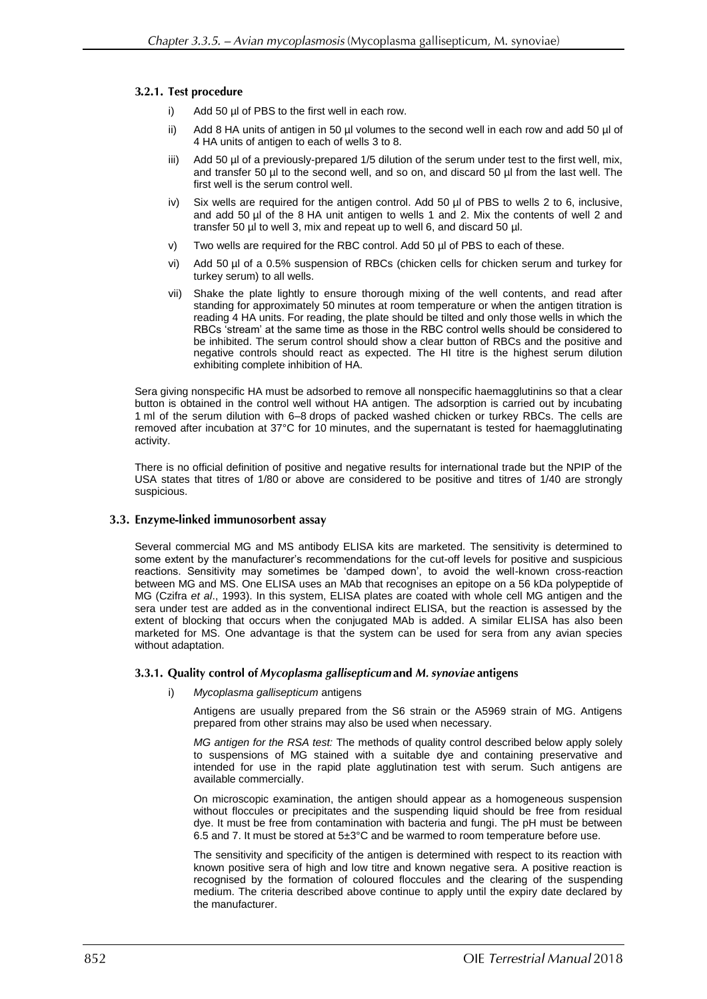#### 3.2.1. Test procedure

- i) Add 50 µl of PBS to the first well in each row.
- ii) Add 8 HA units of antigen in 50 µl volumes to the second well in each row and add 50 µl of 4 HA units of antigen to each of wells 3 to 8.
- iii) Add 50 µl of a previously-prepared 1/5 dilution of the serum under test to the first well, mix, and transfer 50 µl to the second well, and so on, and discard 50 µl from the last well. The first well is the serum control well.
- iv) Six wells are required for the antigen control. Add 50 µl of PBS to wells 2 to 6, inclusive, and add 50 µl of the 8 HA unit antigen to wells 1 and 2. Mix the contents of well 2 and transfer 50 µl to well 3, mix and repeat up to well 6, and discard 50 µl.
- v) Two wells are required for the RBC control. Add 50 µl of PBS to each of these.
- vi) Add 50 µl of a 0.5% suspension of RBCs (chicken cells for chicken serum and turkey for turkey serum) to all wells.
- vii) Shake the plate lightly to ensure thorough mixing of the well contents, and read after standing for approximately 50 minutes at room temperature or when the antigen titration is reading 4 HA units. For reading, the plate should be tilted and only those wells in which the RBCs 'stream' at the same time as those in the RBC control wells should be considered to be inhibited. The serum control should show a clear button of RBCs and the positive and negative controls should react as expected. The HI titre is the highest serum dilution exhibiting complete inhibition of HA.

Sera giving nonspecific HA must be adsorbed to remove all nonspecific haemagglutinins so that a clear button is obtained in the control well without HA antigen. The adsorption is carried out by incubating 1 ml of the serum dilution with 6–8 drops of packed washed chicken or turkey RBCs. The cells are removed after incubation at 37°C for 10 minutes, and the supernatant is tested for haemagglutinating activity.

There is no official definition of positive and negative results for international trade but the NPIP of the USA states that titres of 1/80 or above are considered to be positive and titres of 1/40 are strongly suspicious.

#### 3.3. Enzyme-linked immunosorbent assay

Several commercial MG and MS antibody ELISA kits are marketed. The sensitivity is determined to some extent by the manufacturer's recommendations for the cut-off levels for positive and suspicious reactions. Sensitivity may sometimes be 'damped down', to avoid the well-known cross-reaction between MG and MS. One ELISA uses an MAb that recognises an epitope on a 56 kDa polypeptide of MG (Czifra *et al*., 1993). In this system, ELISA plates are coated with whole cell MG antigen and the sera under test are added as in the conventional indirect ELISA, but the reaction is assessed by the extent of blocking that occurs when the conjugated MAb is added. A similar ELISA has also been marketed for MS. One advantage is that the system can be used for sera from any avian species without adaptation.

#### 3.3.1. Quality control of Mycoplasma gallisepticum and M. synoviae antigens

#### i) *Mycoplasma gallisepticum* antigens

Antigens are usually prepared from the S6 strain or the A5969 strain of MG. Antigens prepared from other strains may also be used when necessary.

*MG antigen for the RSA test:* The methods of quality control described below apply solely to suspensions of MG stained with a suitable dye and containing preservative and intended for use in the rapid plate agglutination test with serum. Such antigens are available commercially.

On microscopic examination, the antigen should appear as a homogeneous suspension without floccules or precipitates and the suspending liquid should be free from residual dye. It must be free from contamination with bacteria and fungi. The pH must be between 6.5 and 7. It must be stored at 5±3°C and be warmed to room temperature before use.

The sensitivity and specificity of the antigen is determined with respect to its reaction with known positive sera of high and low titre and known negative sera. A positive reaction is recognised by the formation of coloured floccules and the clearing of the suspending medium. The criteria described above continue to apply until the expiry date declared by the manufacturer.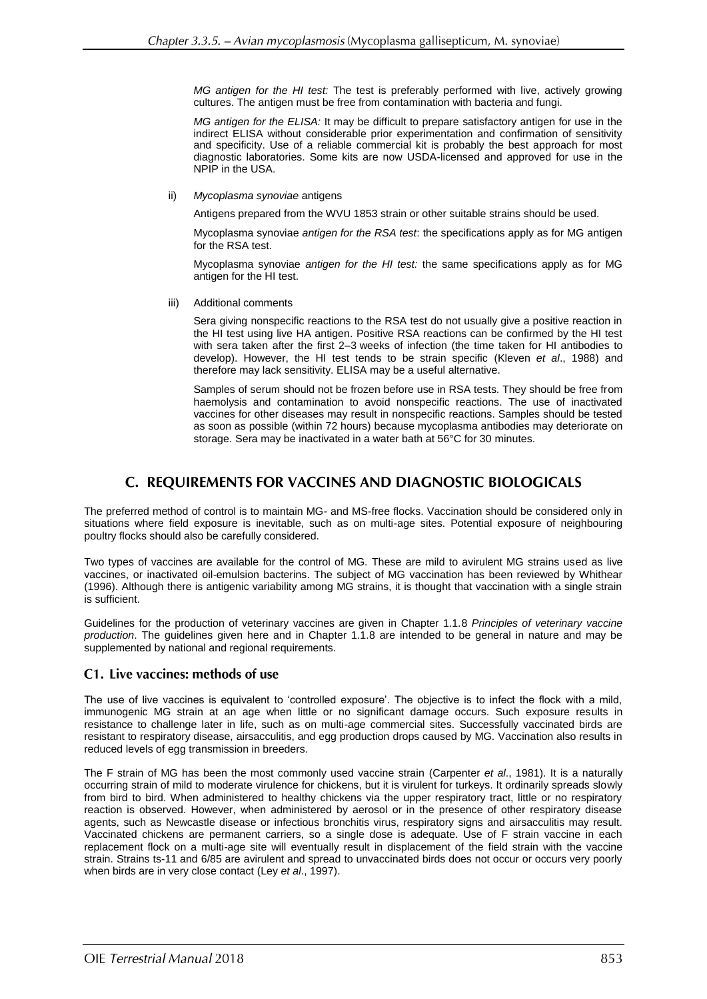*MG antigen for the HI test:* The test is preferably performed with live, actively growing cultures. The antigen must be free from contamination with bacteria and fungi.

*MG antigen for the ELISA:* It may be difficult to prepare satisfactory antigen for use in the indirect ELISA without considerable prior experimentation and confirmation of sensitivity and specificity. Use of a reliable commercial kit is probably the best approach for most diagnostic laboratories. Some kits are now USDA-licensed and approved for use in the NPIP in the USA.

ii) *Mycoplasma synoviae* antigens

Antigens prepared from the WVU 1853 strain or other suitable strains should be used.

Mycoplasma synoviae *antigen for the RSA test*: the specifications apply as for MG antigen for the RSA test.

Mycoplasma synoviae *antigen for the HI test:* the same specifications apply as for MG antigen for the HI test.

iii) Additional comments

Sera giving nonspecific reactions to the RSA test do not usually give a positive reaction in the HI test using live HA antigen. Positive RSA reactions can be confirmed by the HI test with sera taken after the first 2–3 weeks of infection (the time taken for HI antibodies to develop). However, the HI test tends to be strain specific (Kleven *et al*., 1988) and therefore may lack sensitivity. ELISA may be a useful alternative.

Samples of serum should not be frozen before use in RSA tests. They should be free from haemolysis and contamination to avoid nonspecific reactions. The use of inactivated vaccines for other diseases may result in nonspecific reactions. Samples should be tested as soon as possible (within 72 hours) because mycoplasma antibodies may deteriorate on storage. Sera may be inactivated in a water bath at 56°C for 30 minutes.

## C. REQUIREMENTS FOR VACCINES AND DIAGNOSTIC BIOLOGICALS

The preferred method of control is to maintain MG- and MS-free flocks. Vaccination should be considered only in situations where field exposure is inevitable, such as on multi-age sites. Potential exposure of neighbouring poultry flocks should also be carefully considered.

Two types of vaccines are available for the control of MG. These are mild to avirulent MG strains used as live vaccines, or inactivated oil-emulsion bacterins. The subject of MG vaccination has been reviewed by Whithear (1996). Although there is antigenic variability among MG strains, it is thought that vaccination with a single strain is sufficient.

Guidelines for the production of veterinary vaccines are given in Chapter 1.1.8 *Principles of veterinary vaccine production*. The guidelines given here and in Chapter 1.1.8 are intended to be general in nature and may be supplemented by national and regional requirements.

### C1. Live vaccines: methods of use

The use of live vaccines is equivalent to 'controlled exposure'. The objective is to infect the flock with a mild, immunogenic MG strain at an age when little or no significant damage occurs. Such exposure results in resistance to challenge later in life, such as on multi-age commercial sites. Successfully vaccinated birds are resistant to respiratory disease, airsacculitis, and egg production drops caused by MG. Vaccination also results in reduced levels of egg transmission in breeders.

The F strain of MG has been the most commonly used vaccine strain (Carpenter *et al*., 1981). It is a naturally occurring strain of mild to moderate virulence for chickens, but it is virulent for turkeys. It ordinarily spreads slowly from bird to bird. When administered to healthy chickens via the upper respiratory tract, little or no respiratory reaction is observed. However, when administered by aerosol or in the presence of other respiratory disease agents, such as Newcastle disease or infectious bronchitis virus, respiratory signs and airsacculitis may result. Vaccinated chickens are permanent carriers, so a single dose is adequate. Use of F strain vaccine in each replacement flock on a multi-age site will eventually result in displacement of the field strain with the vaccine strain. Strains ts-11 and 6/85 are avirulent and spread to unvaccinated birds does not occur or occurs very poorly when birds are in very close contact (Ley *et al*., 1997).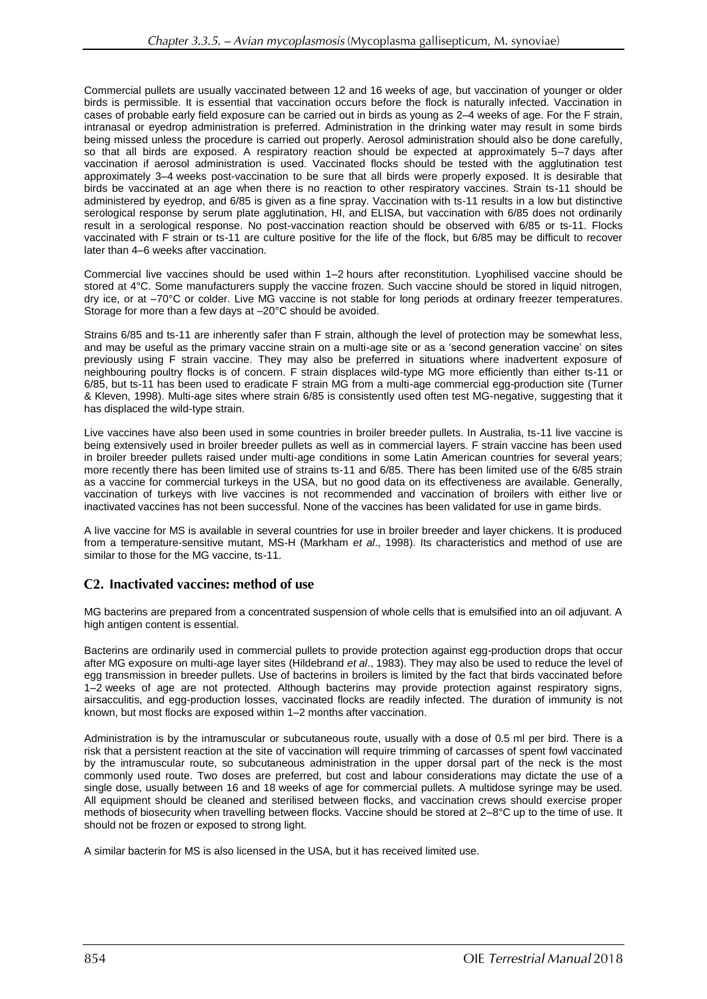Commercial pullets are usually vaccinated between 12 and 16 weeks of age, but vaccination of younger or older birds is permissible. It is essential that vaccination occurs before the flock is naturally infected. Vaccination in cases of probable early field exposure can be carried out in birds as young as 2–4 weeks of age. For the F strain, intranasal or eyedrop administration is preferred. Administration in the drinking water may result in some birds being missed unless the procedure is carried out properly. Aerosol administration should also be done carefully, so that all birds are exposed. A respiratory reaction should be expected at approximately 5–7 days after vaccination if aerosol administration is used. Vaccinated flocks should be tested with the agglutination test approximately 3–4 weeks post-vaccination to be sure that all birds were properly exposed. It is desirable that birds be vaccinated at an age when there is no reaction to other respiratory vaccines. Strain ts-11 should be administered by eyedrop, and 6/85 is given as a fine spray. Vaccination with ts-11 results in a low but distinctive serological response by serum plate agglutination, HI, and ELISA, but vaccination with 6/85 does not ordinarily result in a serological response. No post-vaccination reaction should be observed with 6/85 or ts-11. Flocks vaccinated with F strain or ts-11 are culture positive for the life of the flock, but 6/85 may be difficult to recover later than 4–6 weeks after vaccination.

Commercial live vaccines should be used within 1–2 hours after reconstitution. Lyophilised vaccine should be stored at 4°C. Some manufacturers supply the vaccine frozen. Such vaccine should be stored in liquid nitrogen, dry ice, or at –70°C or colder. Live MG vaccine is not stable for long periods at ordinary freezer temperatures. Storage for more than a few days at –20°C should be avoided.

Strains 6/85 and ts-11 are inherently safer than F strain, although the level of protection may be somewhat less, and may be useful as the primary vaccine strain on a multi-age site or as a 'second generation vaccine' on sites previously using F strain vaccine. They may also be preferred in situations where inadvertent exposure of neighbouring poultry flocks is of concern. F strain displaces wild-type MG more efficiently than either ts-11 or 6/85, but ts-11 has been used to eradicate F strain MG from a multi-age commercial egg-production site (Turner & Kleven, 1998). Multi-age sites where strain 6/85 is consistently used often test MG-negative, suggesting that it has displaced the wild-type strain.

Live vaccines have also been used in some countries in broiler breeder pullets. In Australia, ts-11 live vaccine is being extensively used in broiler breeder pullets as well as in commercial layers. F strain vaccine has been used in broiler breeder pullets raised under multi-age conditions in some Latin American countries for several years; more recently there has been limited use of strains ts-11 and 6/85. There has been limited use of the 6/85 strain as a vaccine for commercial turkeys in the USA, but no good data on its effectiveness are available. Generally, vaccination of turkeys with live vaccines is not recommended and vaccination of broilers with either live or inactivated vaccines has not been successful. None of the vaccines has been validated for use in game birds.

A live vaccine for MS is available in several countries for use in broiler breeder and layer chickens. It is produced from a temperature-sensitive mutant, MS-H (Markham *et al*., 1998). Its characteristics and method of use are similar to those for the MG vaccine, ts-11.

### C2. Inactivated vaccines: method of use

MG bacterins are prepared from a concentrated suspension of whole cells that is emulsified into an oil adjuvant. A high antigen content is essential.

Bacterins are ordinarily used in commercial pullets to provide protection against egg-production drops that occur after MG exposure on multi-age layer sites (Hildebrand *et al*., 1983). They may also be used to reduce the level of egg transmission in breeder pullets. Use of bacterins in broilers is limited by the fact that birds vaccinated before 1–2 weeks of age are not protected. Although bacterins may provide protection against respiratory signs, airsacculitis, and egg-production losses, vaccinated flocks are readily infected. The duration of immunity is not known, but most flocks are exposed within 1–2 months after vaccination.

Administration is by the intramuscular or subcutaneous route, usually with a dose of 0.5 ml per bird. There is a risk that a persistent reaction at the site of vaccination will require trimming of carcasses of spent fowl vaccinated by the intramuscular route, so subcutaneous administration in the upper dorsal part of the neck is the most commonly used route. Two doses are preferred, but cost and labour considerations may dictate the use of a single dose, usually between 16 and 18 weeks of age for commercial pullets. A multidose syringe may be used. All equipment should be cleaned and sterilised between flocks, and vaccination crews should exercise proper methods of biosecurity when travelling between flocks. Vaccine should be stored at 2–8°C up to the time of use. It should not be frozen or exposed to strong light.

A similar bacterin for MS is also licensed in the USA, but it has received limited use.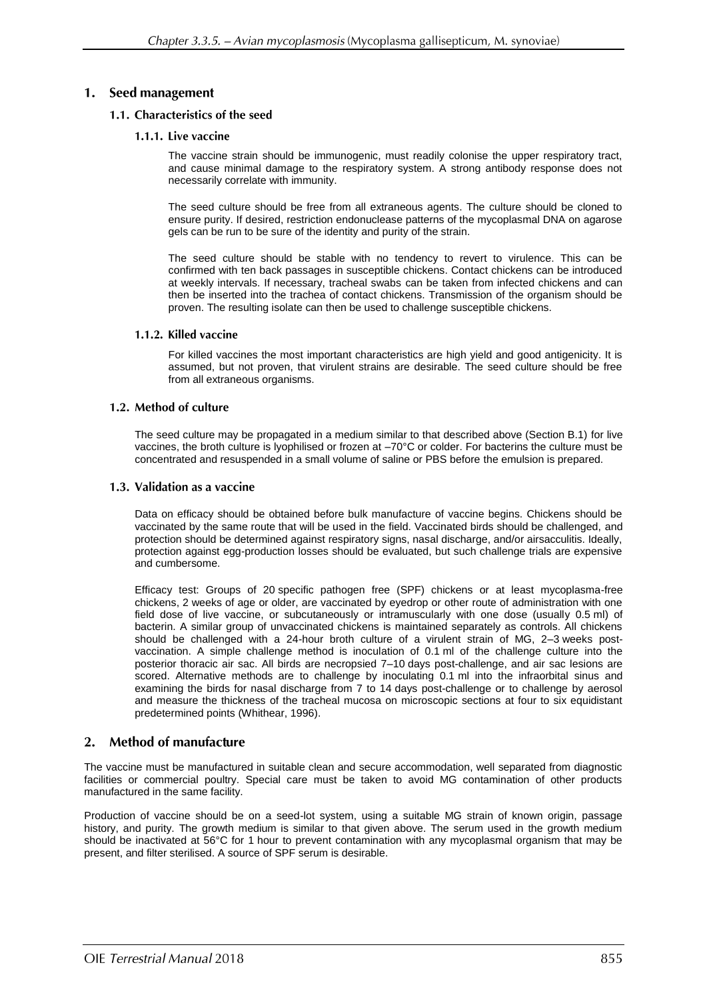### 1. Seed management

#### 1.1. Characteristics of the seed

#### 1.1.1. Live vaccine

The vaccine strain should be immunogenic, must readily colonise the upper respiratory tract, and cause minimal damage to the respiratory system. A strong antibody response does not necessarily correlate with immunity.

The seed culture should be free from all extraneous agents. The culture should be cloned to ensure purity. If desired, restriction endonuclease patterns of the mycoplasmal DNA on agarose gels can be run to be sure of the identity and purity of the strain.

The seed culture should be stable with no tendency to revert to virulence. This can be confirmed with ten back passages in susceptible chickens. Contact chickens can be introduced at weekly intervals. If necessary, tracheal swabs can be taken from infected chickens and can then be inserted into the trachea of contact chickens. Transmission of the organism should be proven. The resulting isolate can then be used to challenge susceptible chickens.

#### 1.1.2. Killed vaccine

For killed vaccines the most important characteristics are high yield and good antigenicity. It is assumed, but not proven, that virulent strains are desirable. The seed culture should be free from all extraneous organisms.

#### 1.2. Method of culture

The seed culture may be propagated in a medium similar to that described above (Section B.1) for live vaccines, the broth culture is lyophilised or frozen at –70°C or colder. For bacterins the culture must be concentrated and resuspended in a small volume of saline or PBS before the emulsion is prepared.

#### 1.3. Validation as a vaccine

Data on efficacy should be obtained before bulk manufacture of vaccine begins. Chickens should be vaccinated by the same route that will be used in the field. Vaccinated birds should be challenged, and protection should be determined against respiratory signs, nasal discharge, and/or airsacculitis. Ideally, protection against egg-production losses should be evaluated, but such challenge trials are expensive and cumbersome.

Efficacy test: Groups of 20 specific pathogen free (SPF) chickens or at least mycoplasma-free chickens, 2 weeks of age or older, are vaccinated by eyedrop or other route of administration with one field dose of live vaccine, or subcutaneously or intramuscularly with one dose (usually 0.5 ml) of bacterin. A similar group of unvaccinated chickens is maintained separately as controls. All chickens should be challenged with a 24-hour broth culture of a virulent strain of MG, 2–3 weeks postvaccination. A simple challenge method is inoculation of 0.1 ml of the challenge culture into the posterior thoracic air sac. All birds are necropsied 7–10 days post-challenge, and air sac lesions are scored. Alternative methods are to challenge by inoculating 0.1 ml into the infraorbital sinus and examining the birds for nasal discharge from 7 to 14 days post-challenge or to challenge by aerosol and measure the thickness of the tracheal mucosa on microscopic sections at four to six equidistant predetermined points (Whithear, 1996).

#### 2. Method of manufacture

The vaccine must be manufactured in suitable clean and secure accommodation, well separated from diagnostic facilities or commercial poultry. Special care must be taken to avoid MG contamination of other products manufactured in the same facility.

Production of vaccine should be on a seed-lot system, using a suitable MG strain of known origin, passage history, and purity. The growth medium is similar to that given above. The serum used in the growth medium should be inactivated at 56°C for 1 hour to prevent contamination with any mycoplasmal organism that may be present, and filter sterilised. A source of SPF serum is desirable.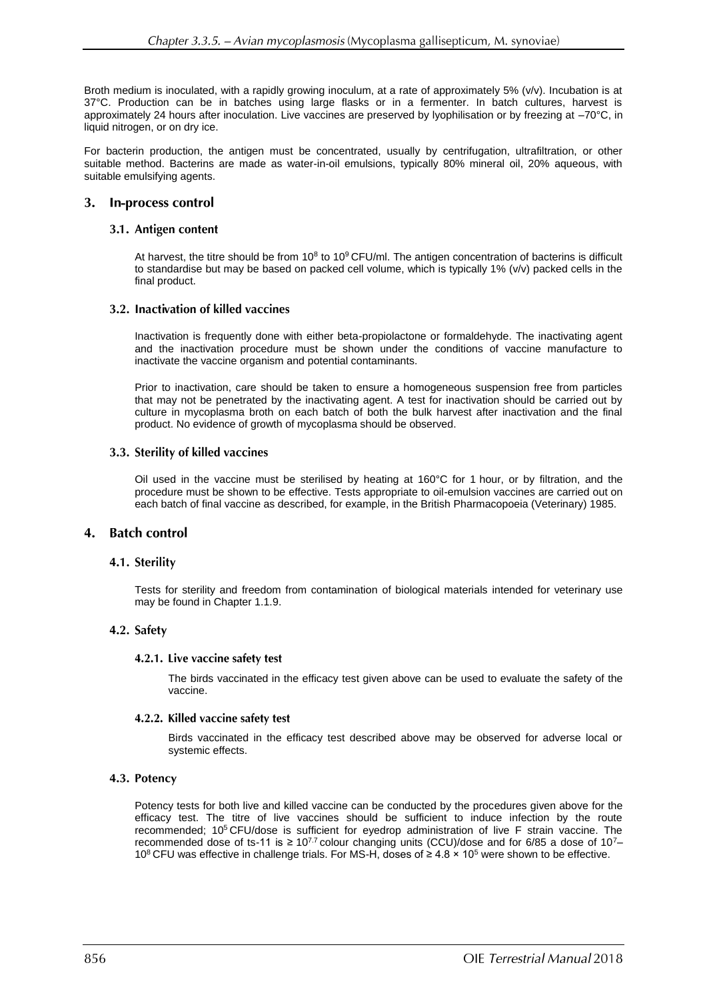Broth medium is inoculated, with a rapidly growing inoculum, at a rate of approximately 5% (v/v). Incubation is at 37°C. Production can be in batches using large flasks or in a fermenter. In batch cultures, harvest is approximately 24 hours after inoculation. Live vaccines are preserved by lyophilisation or by freezing at –70°C, in liquid nitrogen, or on dry ice.

For bacterin production, the antigen must be concentrated, usually by centrifugation, ultrafiltration, or other suitable method. Bacterins are made as water-in-oil emulsions, typically 80% mineral oil, 20% aqueous, with suitable emulsifying agents.

#### $3.$ In-process control

#### 3.1. Antigen content

At harvest, the titre should be from 10<sup>8</sup> to 10<sup>9</sup> CFU/ml. The antigen concentration of bacterins is difficult to standardise but may be based on packed cell volume, which is typically 1% (v/v) packed cells in the final product.

#### 3.2. Inactivation of killed vaccines

Inactivation is frequently done with either beta-propiolactone or formaldehyde. The inactivating agent and the inactivation procedure must be shown under the conditions of vaccine manufacture to inactivate the vaccine organism and potential contaminants.

Prior to inactivation, care should be taken to ensure a homogeneous suspension free from particles that may not be penetrated by the inactivating agent. A test for inactivation should be carried out by culture in mycoplasma broth on each batch of both the bulk harvest after inactivation and the final product. No evidence of growth of mycoplasma should be observed.

#### 3.3. Sterility of killed vaccines

Oil used in the vaccine must be sterilised by heating at 160°C for 1 hour, or by filtration, and the procedure must be shown to be effective. Tests appropriate to oil-emulsion vaccines are carried out on each batch of final vaccine as described, for example, in the British Pharmacopoeia (Veterinary) 1985.

#### **Batch control**  $\overline{4}$ .

#### 4.1. Sterility

Tests for sterility and freedom from contamination of biological materials intended for veterinary use may be found in Chapter 1.1.9.

#### 4.2. Safety

#### 4.2.1. Live vaccine safety test

The birds vaccinated in the efficacy test given above can be used to evaluate the safety of the vaccine.

#### 4.2.2. Killed vaccine safety test

Birds vaccinated in the efficacy test described above may be observed for adverse local or systemic effects.

#### 4.3. Potency

Potency tests for both live and killed vaccine can be conducted by the procedures given above for the efficacy test. The titre of live vaccines should be sufficient to induce infection by the route recommended; 10<sup>5</sup> CFU/dose is sufficient for eyedrop administration of live F strain vaccine. The recommended dose of ts-11 is  $\geq 10^{7.7}$  colour changing units (CCU)/dose and for 6/85 a dose of 10<sup>7</sup>-10<sup>8</sup> CFU was effective in challenge trials. For MS-H, doses of ≥ 4.8 × 10<sup>5</sup> were shown to be effective.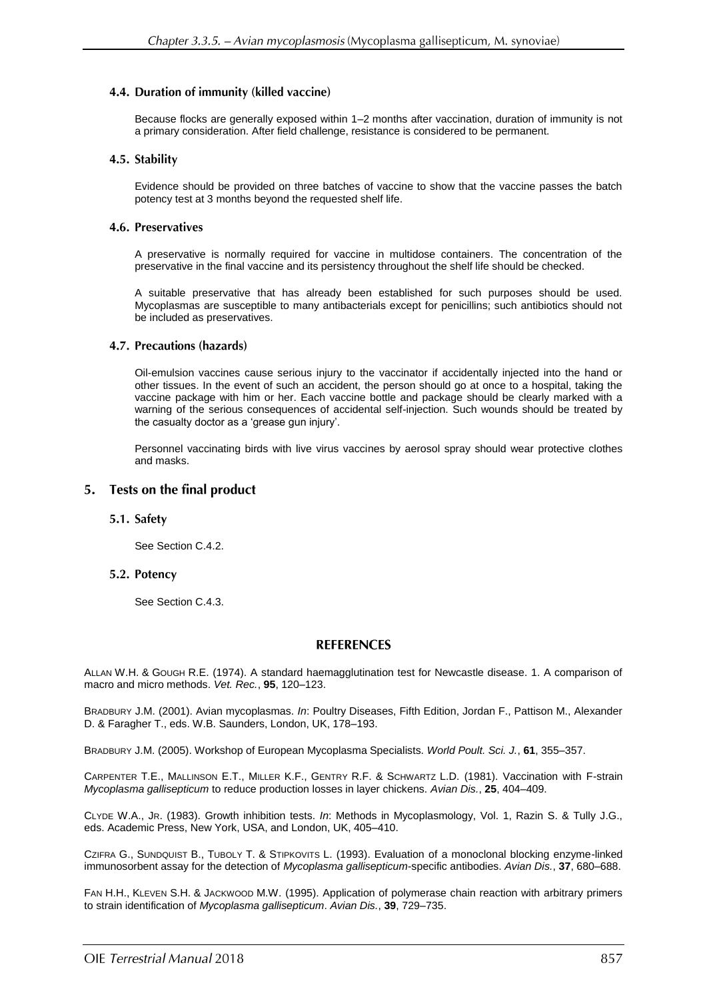#### 4.4. Duration of immunity (killed vaccine)

Because flocks are generally exposed within 1–2 months after vaccination, duration of immunity is not a primary consideration. After field challenge, resistance is considered to be permanent.

#### 4.5. Stability

Evidence should be provided on three batches of vaccine to show that the vaccine passes the batch potency test at 3 months beyond the requested shelf life.

#### 4.6. Preservatives

A preservative is normally required for vaccine in multidose containers. The concentration of the preservative in the final vaccine and its persistency throughout the shelf life should be checked.

A suitable preservative that has already been established for such purposes should be used. Mycoplasmas are susceptible to many antibacterials except for penicillins; such antibiotics should not be included as preservatives.

#### 4.7. Precautions (hazards)

Oil-emulsion vaccines cause serious injury to the vaccinator if accidentally injected into the hand or other tissues. In the event of such an accident, the person should go at once to a hospital, taking the vaccine package with him or her. Each vaccine bottle and package should be clearly marked with a warning of the serious consequences of accidental self-injection. Such wounds should be treated by the casualty doctor as a 'grease gun injury'.

Personnel vaccinating birds with live virus vaccines by aerosol spray should wear protective clothes and masks.

#### 5. Tests on the final product

#### 5.1. Safety

See Section C.4.2.

#### 5.2. Potency

See Section C.4.3.

### **REFERENCES**

ALLAN W.H. & GOUGH R.E. (1974). A standard haemagglutination test for Newcastle disease. 1. A comparison of macro and micro methods. *Vet. Rec.*, **95**, 120–123.

BRADBURY J.M. (2001). Avian mycoplasmas. *In*: Poultry Diseases, Fifth Edition, Jordan F., Pattison M., Alexander D. & Faragher T., eds. W.B. Saunders, London, UK, 178–193.

BRADBURY J.M. (2005). Workshop of European Mycoplasma Specialists. *World Poult. Sci. J.*, **61**, 355–357.

CARPENTER T.E., MALLINSON E.T., MILLER K.F., GENTRY R.F. & SCHWARTZ L.D. (1981). Vaccination with F-strain *Mycoplasma gallisepticum* to reduce production losses in layer chickens. *Avian Dis.*, **25**, 404–409.

CLYDE W.A., JR. (1983). Growth inhibition tests. *In*: Methods in Mycoplasmology, Vol. 1, Razin S. & Tully J.G., eds. Academic Press, New York, USA, and London, UK, 405–410.

CZIFRA G., SUNDQUIST B., TUBOLY T. & STIPKOVITS L. (1993). Evaluation of a monoclonal blocking enzyme-linked immunosorbent assay for the detection of *Mycoplasma gallisepticum*-specific antibodies. *Avian Dis.*, **37**, 680–688.

FAN H.H., KLEVEN S.H. & JACKWOOD M.W. (1995). Application of polymerase chain reaction with arbitrary primers to strain identification of *Mycoplasma gallisepticum*. *Avian Dis.*, **39**, 729–735.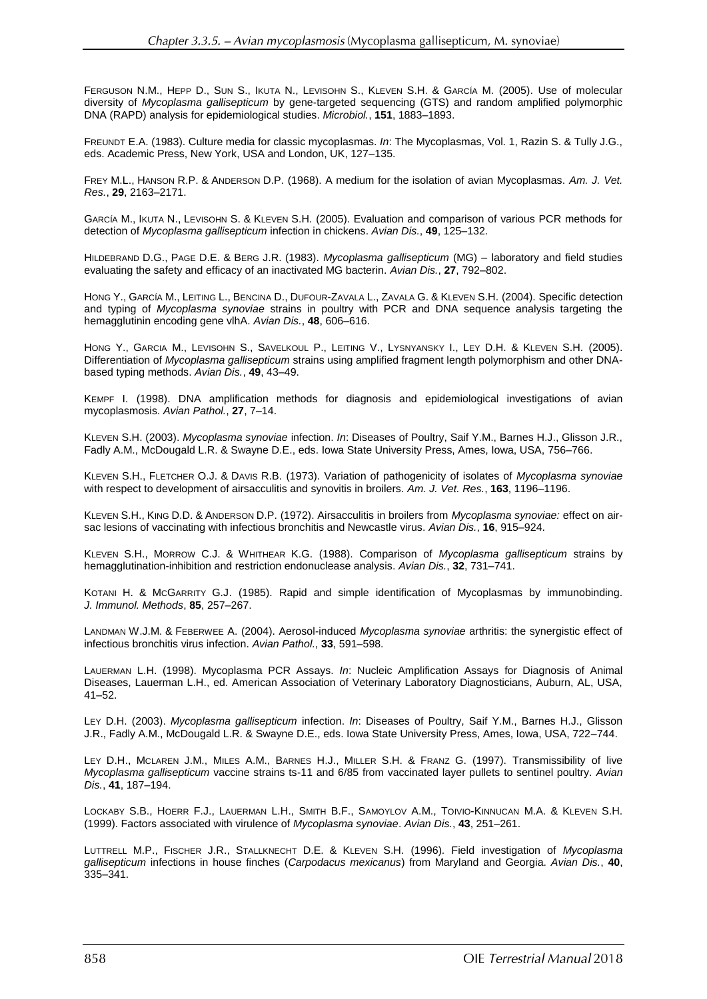FERGUSON N.M., HEPP D., SUN S., IKUTA N., LEVISOHN S., KLEVEN S.H. & GARCÍA M. (2005). Use of molecular diversity of *Mycoplasma gallisepticum* by gene-targeted sequencing (GTS) and random amplified polymorphic DNA (RAPD) analysis for epidemiological studies. *Microbiol.*, **151**, 1883–1893.

FREUNDT E.A. (1983). Culture media for classic mycoplasmas. *In*: The Mycoplasmas, Vol. 1, Razin S. & Tully J.G., eds. Academic Press, New York, USA and London, UK, 127–135.

FREY M.L., HANSON R.P. & ANDERSON D.P. (1968). A medium for the isolation of avian Mycoplasmas. *Am. J. Vet. Res.*, **29**, 2163–2171.

GARCÍA M., IKUTA N., LEVISOHN S. & KLEVEN S.H. (2005). Evaluation and comparison of various PCR methods for detection of *Mycoplasma gallisepticum* infection in chickens. *Avian Dis.*, **49**, 125–132.

HILDEBRAND D.G., PAGE D.E. & BERG J.R. (1983). *Mycoplasma gallisepticum* (MG) – laboratory and field studies evaluating the safety and efficacy of an inactivated MG bacterin. *Avian Dis.*, **27**, 792–802.

HONG Y., GARCÍA M., LEITING L., BENCINA D., DUFOUR-ZAVALA L., ZAVALA G. & KLEVEN S.H. (2004). Specific detection and typing of *Mycoplasma synoviae* strains in poultry with PCR and DNA sequence analysis targeting the hemagglutinin encoding gene vlhA. *Avian Dis.*, **48**, 606–616.

HONG Y., GARCIA M., LEVISOHN S., SAVELKOUL P., LEITING V., LYSNYANSKY I., LEY D.H. & KLEVEN S.H. (2005). Differentiation of *Mycoplasma gallisepticum* strains using amplified fragment length polymorphism and other DNAbased typing methods. *Avian Dis.*, **49**, 43–49.

KEMPF I. (1998). DNA amplification methods for diagnosis and epidemiological investigations of avian mycoplasmosis. *Avian Pathol.*, **27**, 7–14.

KLEVEN S.H. (2003). *Mycoplasma synoviae* infection. *In*: Diseases of Poultry, Saif Y.M., Barnes H.J., Glisson J.R., Fadly A.M., McDougald L.R. & Swayne D.E., eds. Iowa State University Press, Ames, Iowa, USA, 756–766.

KLEVEN S.H., FLETCHER O.J. & DAVIS R.B. (1973). Variation of pathogenicity of isolates of *Mycoplasma synoviae* with respect to development of airsacculitis and synovitis in broilers. *Am. J. Vet. Res.*, **163**, 1196–1196.

KLEVEN S.H., KING D.D. & ANDERSON D.P. (1972). Airsacculitis in broilers from *Mycoplasma synoviae:* effect on airsac lesions of vaccinating with infectious bronchitis and Newcastle virus. *Avian Dis.*, **16**, 915–924.

KLEVEN S.H., MORROW C.J. & WHITHEAR K.G. (1988). Comparison of *Mycoplasma gallisepticum* strains by hemagglutination-inhibition and restriction endonuclease analysis. *Avian Dis.*, **32**, 731–741.

KOTANI H. & MCGARRITY G.J. (1985). Rapid and simple identification of Mycoplasmas by immunobinding. *J. Immunol. Methods*, **85**, 257–267.

LANDMAN W.J.M. & FEBERWEE A. (2004). Aerosol-induced *Mycoplasma synoviae* arthritis: the synergistic effect of infectious bronchitis virus infection. *Avian Pathol.*, **33**, 591–598.

LAUERMAN L.H. (1998). Mycoplasma PCR Assays. *In*: Nucleic Amplification Assays for Diagnosis of Animal Diseases, Lauerman L.H., ed. American Association of Veterinary Laboratory Diagnosticians, Auburn, AL, USA, 41–52.

LEY D.H. (2003). *Mycoplasma gallisepticum* infection. *In*: Diseases of Poultry, Saif Y.M., Barnes H.J., Glisson J.R., Fadly A.M., McDougald L.R. & Swayne D.E., eds. Iowa State University Press, Ames, Iowa, USA, 722–744.

LEY D.H., MCLAREN J.M., MILES A.M., BARNES H.J., MILLER S.H. & FRANZ G. (1997). Transmissibility of live *Mycoplasma gallisepticum* vaccine strains ts-11 and 6/85 from vaccinated layer pullets to sentinel poultry. *Avian Dis.*, **41**, 187–194.

LOCKABY S.B., HOERR F.J., LAUERMAN L.H., SMITH B.F., SAMOYLOV A.M., TOIVIO-KINNUCAN M.A. & KLEVEN S.H. (1999). Factors associated with virulence of *Mycoplasma synoviae*. *Avian Dis.*, **43**, 251–261.

LUTTRELL M.P., FISCHER J.R., STALLKNECHT D.E. & KLEVEN S.H. (1996). Field investigation of *Mycoplasma gallisepticum* infections in house finches (*Carpodacus mexicanus*) from Maryland and Georgia. *Avian Dis.*, **40**, 335–341.